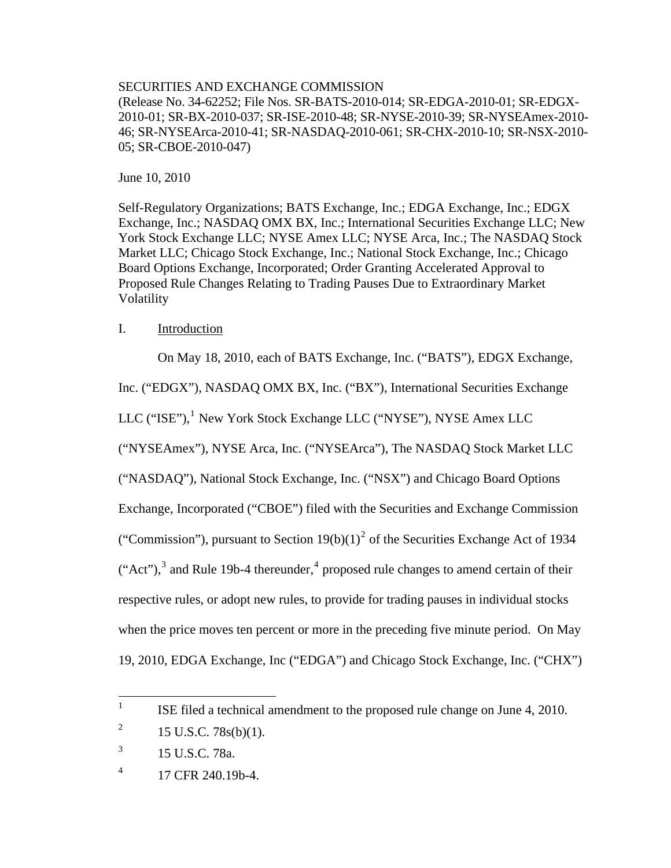## SECURITIES AND EXCHANGE COMMISSION

(Release No. 34-62252; File Nos. SR-BATS-2010-014; SR-EDGA-2010-01; SR-EDGX-2010-01; SR-BX-2010-037; SR-ISE-2010-48; SR-NYSE-2010-39; SR-NYSEAmex-2010- 46; SR-NYSEArca-2010-41; SR-NASDAQ-2010-061; SR-CHX-2010-10; SR-NSX-2010- 05; SR-CBOE-2010-047)

June 10, 2010

Self-Regulatory Organizations; BATS Exchange, Inc.; EDGA Exchange, Inc.; EDGX Exchange, Inc.; NASDAQ OMX BX, Inc.; International Securities Exchange LLC; New York Stock Exchange LLC; NYSE Amex LLC; NYSE Arca, Inc.; The NASDAQ Stock Market LLC; Chicago Stock Exchange, Inc.; National Stock Exchange, Inc.; Chicago Board Options Exchange, Incorporated; Order Granting Accelerated Approval to Proposed Rule Changes Relating to Trading Pauses Due to Extraordinary Market Volatility

## I. Introduction

On May 18, 2010, each of BATS Exchange, Inc. ("BATS"), EDGX Exchange,

Inc. ("EDGX"), NASDAQ OMX BX, Inc. ("BX"), International Securities Exchange

LLC ("ISE"),<sup>[1](#page-0-0)</sup> New York Stock Exchange LLC ("NYSE"), NYSE Amex LLC

("NYSEAmex"), NYSE Arca, Inc. ("NYSEArca"), The NASDAQ Stock Market LLC

("NASDAQ"), National Stock Exchange, Inc. ("NSX") and Chicago Board Options

Exchange, Incorporated ("CBOE") filed with the Securities and Exchange Commission

("Commission"), pursuant to Section  $19(b)(1)^2$  $19(b)(1)^2$  of the Securities Exchange Act of 1934

 $("Act")$ ,<sup>[3](#page-0-2)</sup> and Rule 19b-[4](#page-0-3) thereunder,<sup>4</sup> proposed rule changes to amend certain of their

respective rules, or adopt new rules, to provide for trading pauses in individual stocks

when the price moves ten percent or more in the preceding five minute period. On May

19, 2010, EDGA Exchange, Inc ("EDGA") and Chicago Stock Exchange, Inc. ("CHX")

<span id="page-0-0"></span> $\frac{1}{1}$ ISE filed a technical amendment to the proposed rule change on June 4, 2010.

<span id="page-0-1"></span><sup>2</sup> 15 U.S.C. 78s(b)(1).

<span id="page-0-2"></span><sup>3</sup> 15 U.S.C. 78a.

<span id="page-0-3"></span><sup>4</sup> 17 CFR 240.19b-4.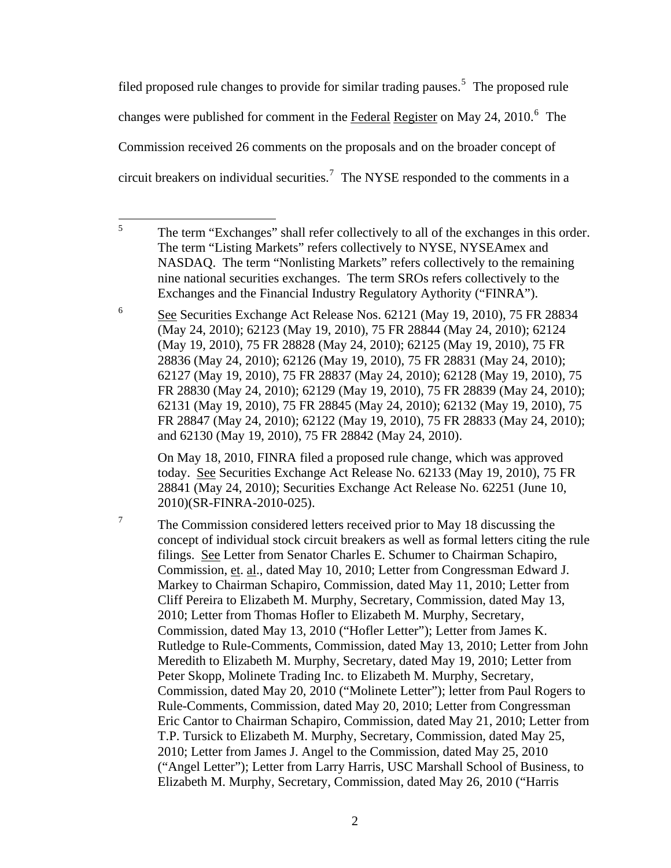filed proposed rule changes to provide for similar trading pauses.<sup>[5](#page-1-0)</sup> The proposed rule changes were published for comment in the Federal Register on May 24, 2010.<sup>[6](#page-1-1)</sup> The Commission received 26 comments on the proposals and on the broader concept of circuit breakers on individual securities.<sup>[7](#page-1-2)</sup> The NYSE responded to the comments in a

<span id="page-1-1"></span>6 See Securities Exchange Act Release Nos. 62121 (May 19, 2010), 75 FR 28834 (May 24, 2010); 62123 (May 19, 2010), 75 FR 28844 (May 24, 2010); 62124 (May 19, 2010), 75 FR 28828 (May 24, 2010); 62125 (May 19, 2010), 75 FR 28836 (May 24, 2010); 62126 (May 19, 2010), 75 FR 28831 (May 24, 2010); 62127 (May 19, 2010), 75 FR 28837 (May 24, 2010); 62128 (May 19, 2010), 75 FR 28830 (May 24, 2010); 62129 (May 19, 2010), 75 FR 28839 (May 24, 2010); 62131 (May 19, 2010), 75 FR 28845 (May 24, 2010); 62132 (May 19, 2010), 75 FR 28847 (May 24, 2010); 62122 (May 19, 2010), 75 FR 28833 (May 24, 2010); and 62130 (May 19, 2010), 75 FR 28842 (May 24, 2010).

On May 18, 2010, FINRA filed a proposed rule change, which was approved today. See Securities Exchange Act Release No. 62133 (May 19, 2010), 75 FR 28841 (May 24, 2010); Securities Exchange Act Release No. 62251 (June 10, 2010)(SR-FINRA-2010-025).

<span id="page-1-2"></span>7 The Commission considered letters received prior to May 18 discussing the concept of individual stock circuit breakers as well as formal letters citing the rule filings. See Letter from Senator Charles E. Schumer to Chairman Schapiro, Commission, et. al., dated May 10, 2010; Letter from Congressman Edward J. Markey to Chairman Schapiro, Commission, dated May 11, 2010; Letter from Cliff Pereira to Elizabeth M. Murphy, Secretary, Commission, dated May 13, 2010; Letter from Thomas Hofler to Elizabeth M. Murphy, Secretary, Commission, dated May 13, 2010 ("Hofler Letter"); Letter from James K. Rutledge to Rule-Comments, Commission, dated May 13, 2010; Letter from John Meredith to Elizabeth M. Murphy, Secretary, dated May 19, 2010; Letter from Peter Skopp, Molinete Trading Inc. to Elizabeth M. Murphy, Secretary, Commission, dated May 20, 2010 ("Molinete Letter"); letter from Paul Rogers to Rule-Comments, Commission, dated May 20, 2010; Letter from Congressman Eric Cantor to Chairman Schapiro, Commission, dated May 21, 2010; Letter from T.P. Tursick to Elizabeth M. Murphy, Secretary, Commission, dated May 25, 2010; Letter from James J. Angel to the Commission, dated May 25, 2010 ("Angel Letter"); Letter from Larry Harris, USC Marshall School of Business, to Elizabeth M. Murphy, Secretary, Commission, dated May 26, 2010 ("Harris

<span id="page-1-0"></span> 5 The term "Exchanges" shall refer collectively to all of the exchanges in this order. The term "Listing Markets" refers collectively to NYSE, NYSEAmex and NASDAQ. The term "Nonlisting Markets" refers collectively to the remaining nine national securities exchanges. The term SROs refers collectively to the Exchanges and the Financial Industry Regulatory Aythority ("FINRA").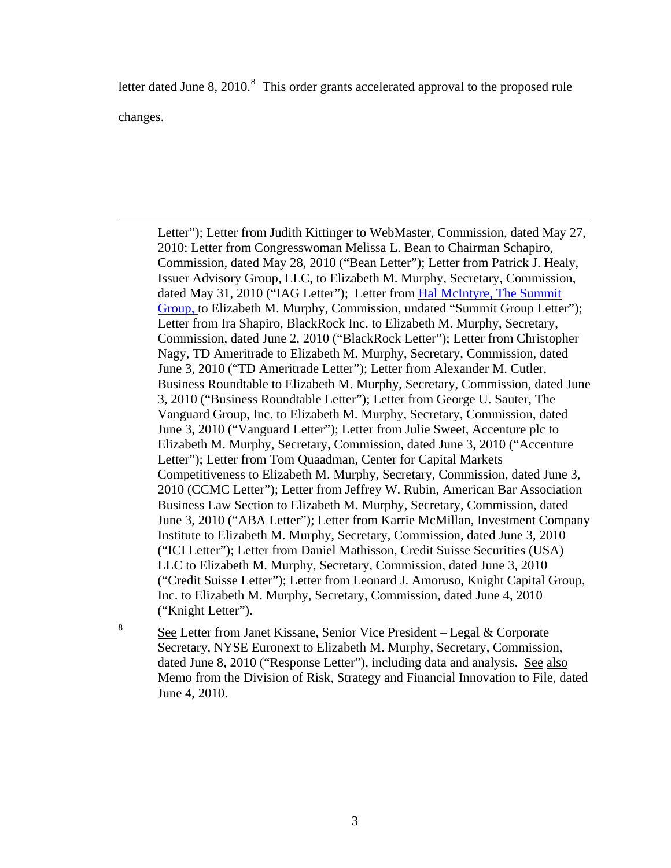letter dated June [8](#page-2-0), 2010.<sup>8</sup> This order grants accelerated approval to the proposed rule changes.

Letter"); Letter from Judith Kittinger to WebMaster, Commission, dated May 27, 2010; Letter from Congresswoman Melissa L. Bean to Chairman Schapiro, Commission, dated May 28, 2010 ("Bean Letter"); Letter from Patrick J. Healy, Issuer Advisory Group, LLC, to Elizabeth M. Murphy, Secretary, Commission, dated May 31, 2010 ("IAG Letter"); Letter from [Hal McIntyre, The Summit](http://www.sec.gov/comments/sr-nysearca-2010-41/nysearca201041-5.pdf)  [Group, t](http://www.sec.gov/comments/sr-nysearca-2010-41/nysearca201041-5.pdf)o Elizabeth M. Murphy, Commission, undated "Summit Group Letter"); Letter from Ira Shapiro, BlackRock Inc. to Elizabeth M. Murphy, Secretary, Commission, dated June 2, 2010 ("BlackRock Letter"); Letter from Christopher Nagy, TD Ameritrade to Elizabeth M. Murphy, Secretary, Commission, dated June 3, 2010 ("TD Ameritrade Letter"); Letter from Alexander M. Cutler, Business Roundtable to Elizabeth M. Murphy, Secretary, Commission, dated June 3, 2010 ("Business Roundtable Letter"); Letter from George U. Sauter, The Vanguard Group, Inc. to Elizabeth M. Murphy, Secretary, Commission, dated June 3, 2010 ("Vanguard Letter"); Letter from Julie Sweet, Accenture plc to Elizabeth M. Murphy, Secretary, Commission, dated June 3, 2010 ("Accenture Letter"); Letter from Tom Quaadman, Center for Capital Markets Competitiveness to Elizabeth M. Murphy, Secretary, Commission, dated June 3, 2010 (CCMC Letter"); Letter from Jeffrey W. Rubin, American Bar Association Business Law Section to Elizabeth M. Murphy, Secretary, Commission, dated June 3, 2010 ("ABA Letter"); Letter from Karrie McMillan, Investment Company Institute to Elizabeth M. Murphy, Secretary, Commission, dated June 3, 2010 ("ICI Letter"); Letter from Daniel Mathisson, Credit Suisse Securities (USA) LLC to Elizabeth M. Murphy, Secretary, Commission, dated June 3, 2010 ("Credit Suisse Letter"); Letter from Leonard J. Amoruso, Knight Capital Group, Inc. to Elizabeth M. Murphy, Secretary, Commission, dated June 4, 2010 ("Knight Letter").

<span id="page-2-0"></span>8

 $\overline{a}$ 

 See Letter from Janet Kissane, Senior Vice President – Legal & Corporate Secretary, NYSE Euronext to Elizabeth M. Murphy, Secretary, Commission, dated June 8, 2010 ("Response Letter"), including data and analysis. See also Memo from the Division of Risk, Strategy and Financial Innovation to File, dated June 4, 2010.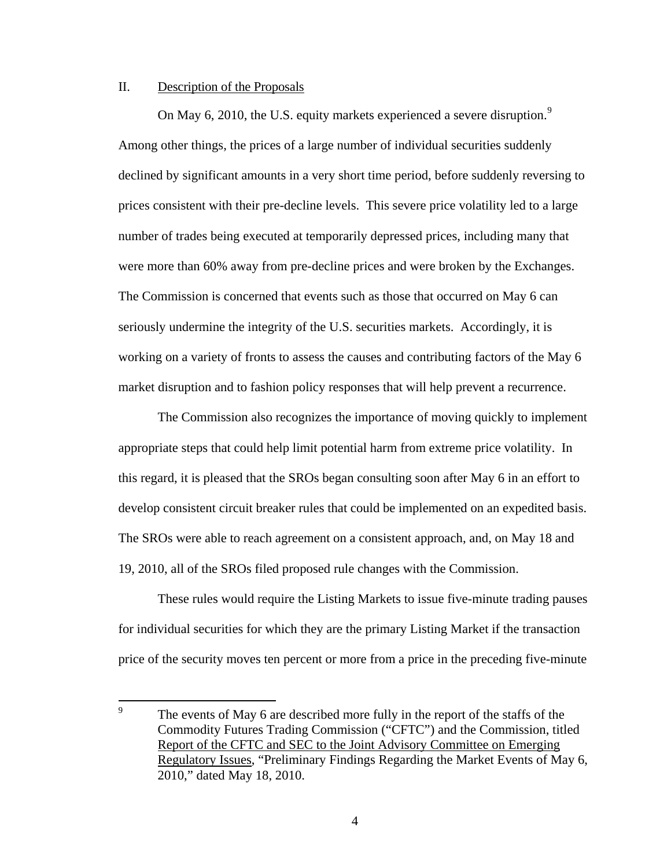## II. Description of the Proposals

On May 6, 2010, the U.S. equity markets experienced a severe disruption. $9$ Among other things, the prices of a large number of individual securities suddenly declined by significant amounts in a very short time period, before suddenly reversing to prices consistent with their pre-decline levels. This severe price volatility led to a large number of trades being executed at temporarily depressed prices, including many that were more than 60% away from pre-decline prices and were broken by the Exchanges. The Commission is concerned that events such as those that occurred on May 6 can seriously undermine the integrity of the U.S. securities markets. Accordingly, it is working on a variety of fronts to assess the causes and contributing factors of the May 6 market disruption and to fashion policy responses that will help prevent a recurrence.

The Commission also recognizes the importance of moving quickly to implement appropriate steps that could help limit potential harm from extreme price volatility. In this regard, it is pleased that the SROs began consulting soon after May 6 in an effort to develop consistent circuit breaker rules that could be implemented on an expedited basis. The SROs were able to reach agreement on a consistent approach, and, on May 18 and 19, 2010, all of the SROs filed proposed rule changes with the Commission.

These rules would require the Listing Markets to issue five-minute trading pauses for individual securities for which they are the primary Listing Market if the transaction price of the security moves ten percent or more from a price in the preceding five-minute

<span id="page-3-0"></span><sup>–&</sup>lt;br>9 The events of May 6 are described more fully in the report of the staffs of the Commodity Futures Trading Commission ("CFTC") and the Commission, titled Report of the CFTC and SEC to the Joint Advisory Committee on Emerging Regulatory Issues, "Preliminary Findings Regarding the Market Events of May 6, 2010," dated May 18, 2010.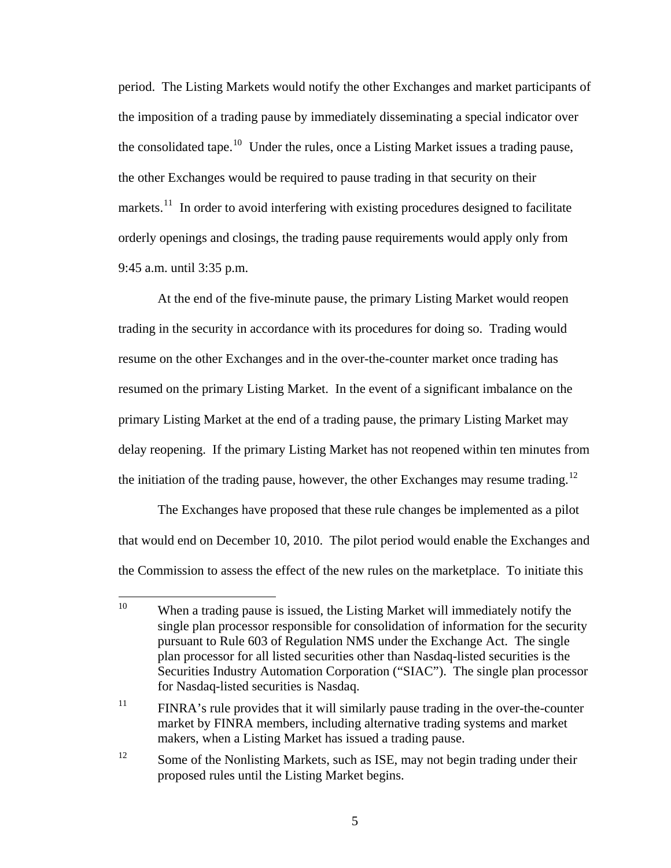period. The Listing Markets would notify the other Exchanges and market participants of the imposition of a trading pause by immediately disseminating a special indicator over the consolidated tape.<sup>[10](#page-4-0)</sup> Under the rules, once a Listing Market issues a trading pause, the other Exchanges would be required to pause trading in that security on their markets.<sup>[11](#page-4-1)</sup> In order to avoid interfering with existing procedures designed to facilitate orderly openings and closings, the trading pause requirements would apply only from 9:45 a.m. until 3:35 p.m.

At the end of the five-minute pause, the primary Listing Market would reopen trading in the security in accordance with its procedures for doing so. Trading would resume on the other Exchanges and in the over-the-counter market once trading has resumed on the primary Listing Market. In the event of a significant imbalance on the primary Listing Market at the end of a trading pause, the primary Listing Market may delay reopening. If the primary Listing Market has not reopened within ten minutes from the initiation of the trading pause, however, the other Exchanges may resume trading.<sup>[12](#page-4-2)</sup>

The Exchanges have proposed that these rule changes be implemented as a pilot that would end on December 10, 2010. The pilot period would enable the Exchanges and the Commission to assess the effect of the new rules on the marketplace. To initiate this

<span id="page-4-0"></span> $10<sup>10</sup>$ When a trading pause is issued, the Listing Market will immediately notify the single plan processor responsible for consolidation of information for the security pursuant to Rule 603 of Regulation NMS under the Exchange Act. The single plan processor for all listed securities other than Nasdaq-listed securities is the Securities Industry Automation Corporation ("SIAC"). The single plan processor for Nasdaq-listed securities is Nasdaq.

<span id="page-4-1"></span> $11$  FINRA's rule provides that it will similarly pause trading in the over-the-counter market by FINRA members, including alternative trading systems and market makers, when a Listing Market has issued a trading pause.

<span id="page-4-2"></span><sup>&</sup>lt;sup>12</sup> Some of the Nonlisting Markets, such as ISE, may not begin trading under their proposed rules until the Listing Market begins.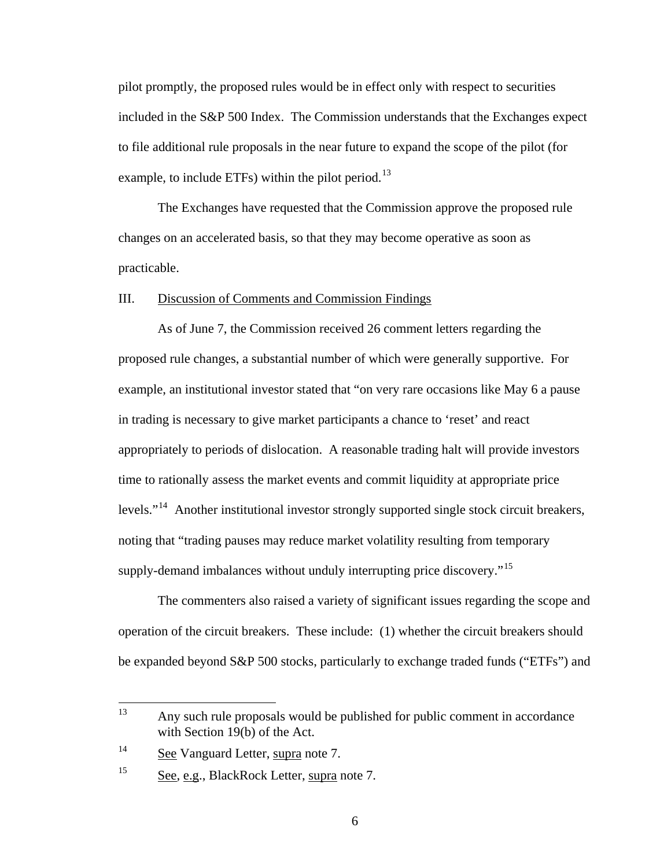pilot promptly, the proposed rules would be in effect only with respect to securities included in the S&P 500 Index. The Commission understands that the Exchanges expect to file additional rule proposals in the near future to expand the scope of the pilot (for example, to include ETFs) within the pilot period.<sup>[13](#page-5-0)</sup>

The Exchanges have requested that the Commission approve the proposed rule changes on an accelerated basis, so that they may become operative as soon as practicable.

## III. Discussion of Comments and Commission Findings

As of June 7, the Commission received 26 comment letters regarding the proposed rule changes, a substantial number of which were generally supportive. For example, an institutional investor stated that "on very rare occasions like May 6 a pause in trading is necessary to give market participants a chance to 'reset' and react appropriately to periods of dislocation. A reasonable trading halt will provide investors time to rationally assess the market events and commit liquidity at appropriate price levels."<sup>[14](#page-5-1)</sup> Another institutional investor strongly supported single stock circuit breakers, noting that "trading pauses may reduce market volatility resulting from temporary supply-demand imbalances without unduly interrupting price discovery."<sup>[15](#page-5-2)</sup>

The commenters also raised a variety of significant issues regarding the scope and operation of the circuit breakers. These include: (1) whether the circuit breakers should be expanded beyond S&P 500 stocks, particularly to exchange traded funds ("ETFs") and

<span id="page-5-0"></span><sup>13</sup> Any such rule proposals would be published for public comment in accordance with Section 19(b) of the Act.

<span id="page-5-1"></span><sup>&</sup>lt;sup>14</sup> See Vanguard Letter, supra note 7.

<span id="page-5-2"></span><sup>15</sup> See, e.g., BlackRock Letter, supra note 7.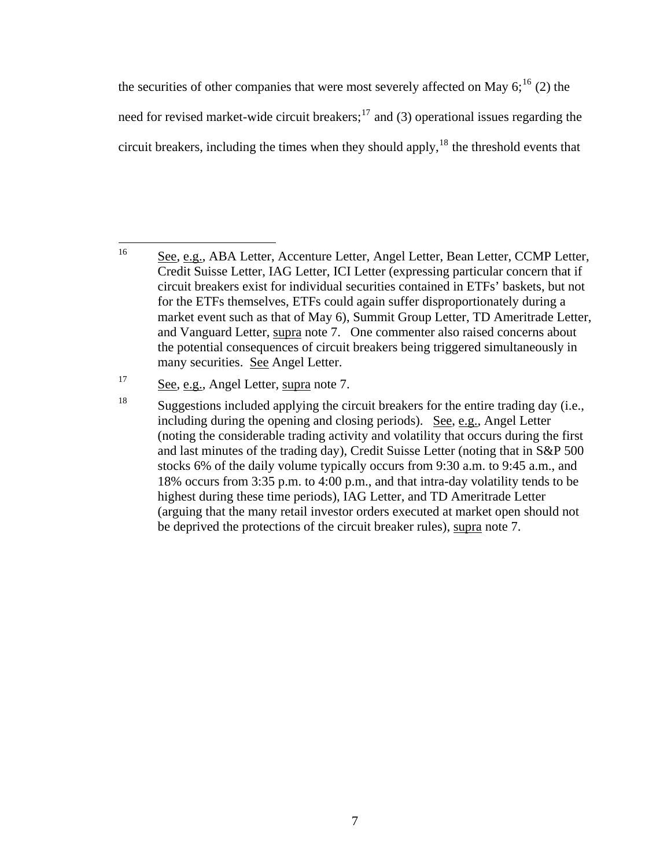the securities of other companies that were most severely affected on May  $6$ ;<sup>[16](#page-6-0)</sup> (2) the need for revised market-wide circuit breakers;<sup>[17](#page-6-1)</sup> and (3) operational issues regarding the circuit breakers, including the times when they should apply, $18$  the threshold events that

<span id="page-6-0"></span><sup>16</sup> 16 See, e.g., ABA Letter, Accenture Letter, Angel Letter, Bean Letter, CCMP Letter, Credit Suisse Letter, IAG Letter, ICI Letter (expressing particular concern that if circuit breakers exist for individual securities contained in ETFs' baskets, but not for the ETFs themselves, ETFs could again suffer disproportionately during a market event such as that of May 6), Summit Group Letter, TD Ameritrade Letter, and Vanguard Letter, supra note 7. One commenter also raised concerns about the potential consequences of circuit breakers being triggered simultaneously in many securities. See Angel Letter.

<span id="page-6-2"></span><span id="page-6-1"></span><sup>&</sup>lt;sup>17</sup> See, e.g., Angel Letter, supra note 7.

<sup>&</sup>lt;sup>18</sup> Suggestions included applying the circuit breakers for the entire trading day (i.e., including during the opening and closing periods). See, e.g., Angel Letter (noting the considerable trading activity and volatility that occurs during the first and last minutes of the trading day), Credit Suisse Letter (noting that in S&P 500 stocks 6% of the daily volume typically occurs from 9:30 a.m. to 9:45 a.m., and 18% occurs from 3:35 p.m. to 4:00 p.m., and that intra-day volatility tends to be highest during these time periods), IAG Letter, and TD Ameritrade Letter (arguing that the many retail investor orders executed at market open should not be deprived the protections of the circuit breaker rules), supra note 7.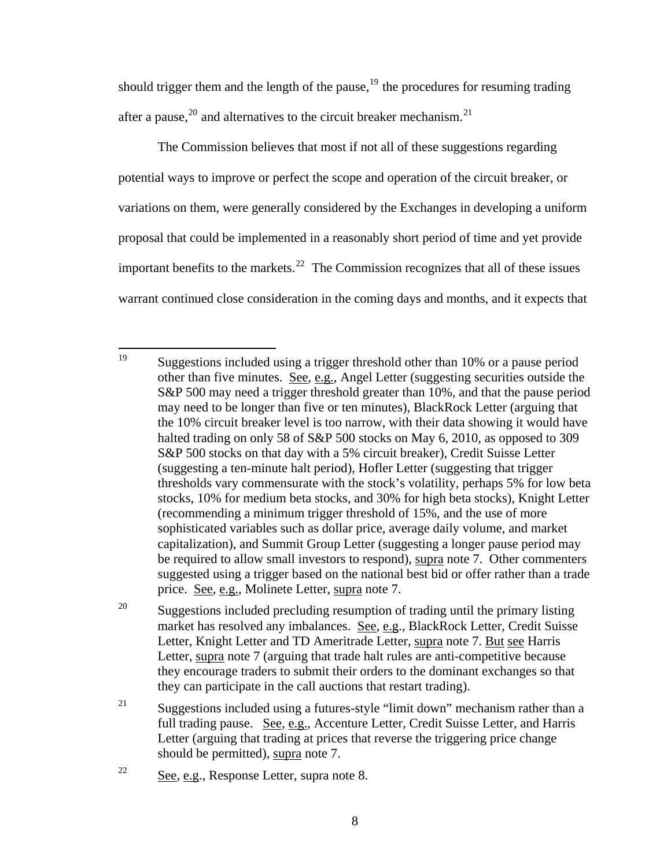should trigger them and the length of the pause,  $19$  the procedures for resuming trading after a pause,<sup>[20](#page-7-1)</sup> and alternatives to the circuit breaker mechanism.<sup>[21](#page-7-2)</sup>

The Commission believes that most if not all of these suggestions regarding potential ways to improve or perfect the scope and operation of the circuit breaker, or variations on them, were generally considered by the Exchanges in developing a uniform proposal that could be implemented in a reasonably short period of time and yet provide important benefits to the markets. $22$  The Commission recognizes that all of these issues warrant continued close consideration in the coming days and months, and it expects that

<span id="page-7-0"></span><sup>19</sup> 19 Suggestions included using a trigger threshold other than 10% or a pause period other than five minutes. See, e.g., Angel Letter (suggesting securities outside the S&P 500 may need a trigger threshold greater than 10%, and that the pause period may need to be longer than five or ten minutes), BlackRock Letter (arguing that the 10% circuit breaker level is too narrow, with their data showing it would have halted trading on only 58 of S&P 500 stocks on May 6, 2010, as opposed to 309 S&P 500 stocks on that day with a 5% circuit breaker), Credit Suisse Letter (suggesting a ten-minute halt period), Hofler Letter (suggesting that trigger thresholds vary commensurate with the stock's volatility, perhaps 5% for low beta stocks, 10% for medium beta stocks, and 30% for high beta stocks), Knight Letter (recommending a minimum trigger threshold of 15%, and the use of more sophisticated variables such as dollar price, average daily volume, and market capitalization), and Summit Group Letter (suggesting a longer pause period may be required to allow small investors to respond), supra note 7. Other commenters suggested using a trigger based on the national best bid or offer rather than a trade price. See, e.g., Molinete Letter, supra note 7.

<span id="page-7-1"></span><sup>&</sup>lt;sup>20</sup> Suggestions included precluding resumption of trading until the primary listing market has resolved any imbalances. See, e.g., BlackRock Letter, Credit Suisse Letter, Knight Letter and TD Ameritrade Letter, supra note 7. But see Harris Letter, supra note 7 (arguing that trade halt rules are anti-competitive because they encourage traders to submit their orders to the dominant exchanges so that they can participate in the call auctions that restart trading).

<span id="page-7-2"></span><sup>&</sup>lt;sup>21</sup> Suggestions included using a futures-style "limit down" mechanism rather than a full trading pause. See, e.g., Accenture Letter, Credit Suisse Letter, and Harris Letter (arguing that trading at prices that reverse the triggering price change should be permitted), supra note 7.

<span id="page-7-3"></span><sup>22</sup> See, e.g., Response Letter, supra note 8.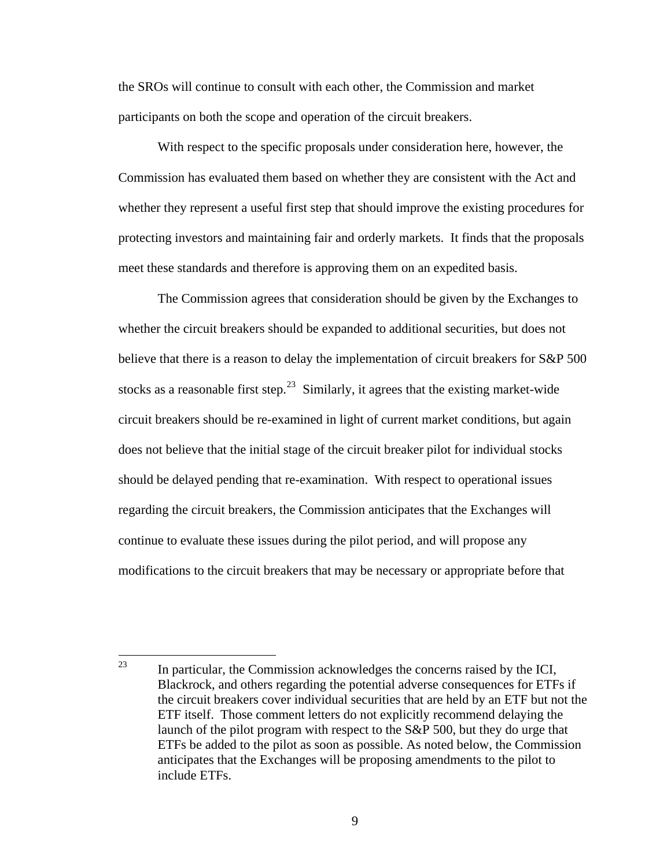the SROs will continue to consult with each other, the Commission and market participants on both the scope and operation of the circuit breakers.

With respect to the specific proposals under consideration here, however, the Commission has evaluated them based on whether they are consistent with the Act and whether they represent a useful first step that should improve the existing procedures for protecting investors and maintaining fair and orderly markets. It finds that the proposals meet these standards and therefore is approving them on an expedited basis.

The Commission agrees that consideration should be given by the Exchanges to whether the circuit breakers should be expanded to additional securities, but does not believe that there is a reason to delay the implementation of circuit breakers for S&P 500 stocks as a reasonable first step.<sup>[23](#page-8-0)</sup> Similarly, it agrees that the existing market-wide circuit breakers should be re-examined in light of current market conditions, but again does not believe that the initial stage of the circuit breaker pilot for individual stocks should be delayed pending that re-examination. With respect to operational issues regarding the circuit breakers, the Commission anticipates that the Exchanges will continue to evaluate these issues during the pilot period, and will propose any modifications to the circuit breakers that may be necessary or appropriate before that

<span id="page-8-0"></span><sup>23</sup> In particular, the Commission acknowledges the concerns raised by the ICI, Blackrock, and others regarding the potential adverse consequences for ETFs if the circuit breakers cover individual securities that are held by an ETF but not the ETF itself. Those comment letters do not explicitly recommend delaying the launch of the pilot program with respect to the S&P 500, but they do urge that ETFs be added to the pilot as soon as possible. As noted below, the Commission anticipates that the Exchanges will be proposing amendments to the pilot to include ETFs.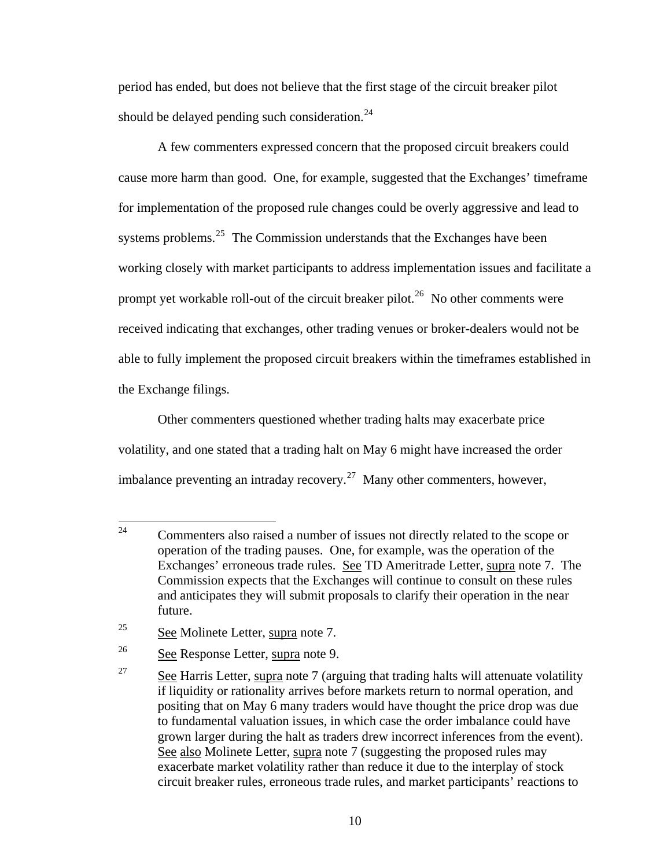period has ended, but does not believe that the first stage of the circuit breaker pilot should be delayed pending such consideration. $^{24}$  $^{24}$  $^{24}$ 

A few commenters expressed concern that the proposed circuit breakers could cause more harm than good. One, for example, suggested that the Exchanges' timeframe for implementation of the proposed rule changes could be overly aggressive and lead to systems problems. $25$  The Commission understands that the Exchanges have been working closely with market participants to address implementation issues and facilitate a prompt yet workable roll-out of the circuit breaker pilot.<sup>[26](#page-9-2)</sup> No other comments were received indicating that exchanges, other trading venues or broker-dealers would not be able to fully implement the proposed circuit breakers within the timeframes established in the Exchange filings.

Other commenters questioned whether trading halts may exacerbate price volatility, and one stated that a trading halt on May 6 might have increased the order imbalance preventing an intraday recovery.<sup>[27](#page-9-3)</sup> Many other commenters, however,

<span id="page-9-0"></span> $24$ 24 Commenters also raised a number of issues not directly related to the scope or operation of the trading pauses. One, for example, was the operation of the Exchanges' erroneous trade rules. See TD Ameritrade Letter, supra note 7. The Commission expects that the Exchanges will continue to consult on these rules and anticipates they will submit proposals to clarify their operation in the near future.

<span id="page-9-1"></span> $25$  See Molinete Letter, supra note 7.

<span id="page-9-2"></span><sup>26</sup> See Response Letter, supra note 9.

<span id="page-9-3"></span><sup>&</sup>lt;sup>27</sup> See Harris Letter, supra note 7 (arguing that trading halts will attenuate volatility if liquidity or rationality arrives before markets return to normal operation, and positing that on May 6 many traders would have thought the price drop was due to fundamental valuation issues, in which case the order imbalance could have grown larger during the halt as traders drew incorrect inferences from the event). See also Molinete Letter, supra note 7 (suggesting the proposed rules may exacerbate market volatility rather than reduce it due to the interplay of stock circuit breaker rules, erroneous trade rules, and market participants' reactions to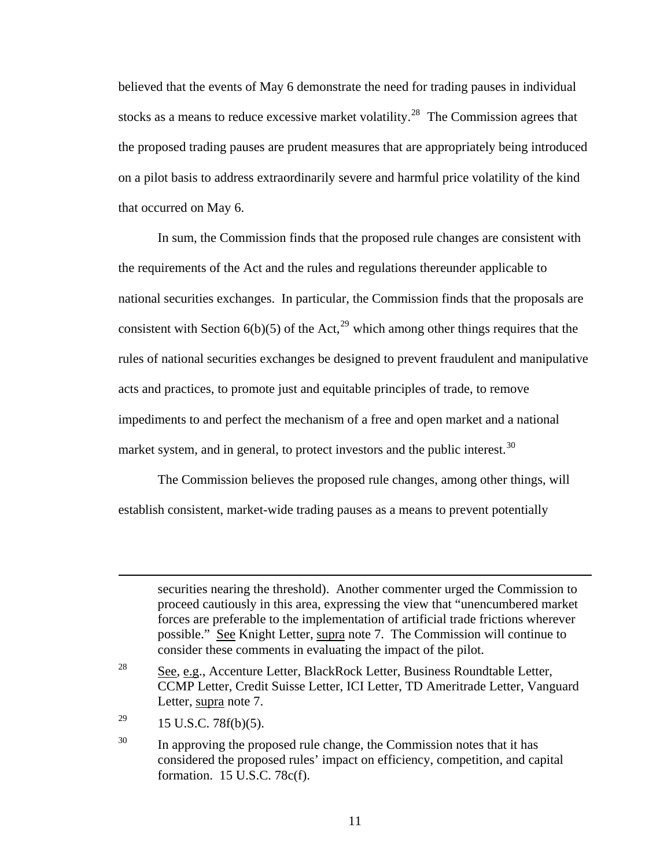believed that the events of May 6 demonstrate the need for trading pauses in individual stocks as a means to reduce excessive market volatility.<sup>[28](#page-10-0)</sup> The Commission agrees that the proposed trading pauses are prudent measures that are appropriately being introduced on a pilot basis to address extraordinarily severe and harmful price volatility of the kind that occurred on May 6.

In sum, the Commission finds that the proposed rule changes are consistent with the requirements of the Act and the rules and regulations thereunder applicable to national securities exchanges. In particular, the Commission finds that the proposals are consistent with Section  $6(b)(5)$  of the Act,<sup>[29](#page-10-1)</sup> which among other things requires that the rules of national securities exchanges be designed to prevent fraudulent and manipulative acts and practices, to promote just and equitable principles of trade, to remove impediments to and perfect the mechanism of a free and open market and a national market system, and in general, to protect investors and the public interest.<sup>[30](#page-10-2)</sup>

The Commission believes the proposed rule changes, among other things, will establish consistent, market-wide trading pauses as a means to prevent potentially

securities nearing the threshold). Another commenter urged the Commission to proceed cautiously in this area, expressing the view that "unencumbered market forces are preferable to the implementation of artificial trade frictions wherever possible." See Knight Letter, supra note 7. The Commission will continue to consider these comments in evaluating the impact of the pilot.

<span id="page-10-1"></span><sup>29</sup> 15 U.S.C. 78 $f(b)(5)$ .

 $\overline{a}$ 

<span id="page-10-0"></span><sup>&</sup>lt;sup>28</sup> See, e.g., Accenture Letter, BlackRock Letter, Business Roundtable Letter, CCMP Letter, Credit Suisse Letter, ICI Letter, TD Ameritrade Letter, Vanguard Letter, supra note 7.

<span id="page-10-2"></span> $30$  In approving the proposed rule change, the Commission notes that it has considered the proposed rules' impact on efficiency, competition, and capital formation. 15 U.S.C. 78c(f).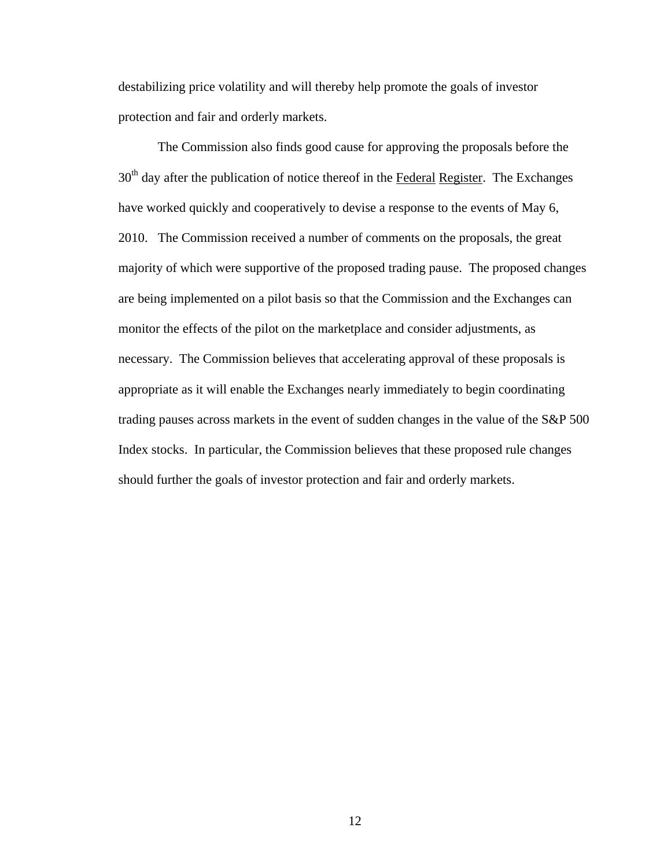destabilizing price volatility and will thereby help promote the goals of investor protection and fair and orderly markets.

The Commission also finds good cause for approving the proposals before the  $30<sup>th</sup>$  day after the publication of notice thereof in the Federal Register. The Exchanges have worked quickly and cooperatively to devise a response to the events of May 6, 2010. The Commission received a number of comments on the proposals, the great majority of which were supportive of the proposed trading pause. The proposed changes are being implemented on a pilot basis so that the Commission and the Exchanges can monitor the effects of the pilot on the marketplace and consider adjustments, as necessary. The Commission believes that accelerating approval of these proposals is appropriate as it will enable the Exchanges nearly immediately to begin coordinating trading pauses across markets in the event of sudden changes in the value of the S&P 500 Index stocks. In particular, the Commission believes that these proposed rule changes should further the goals of investor protection and fair and orderly markets.